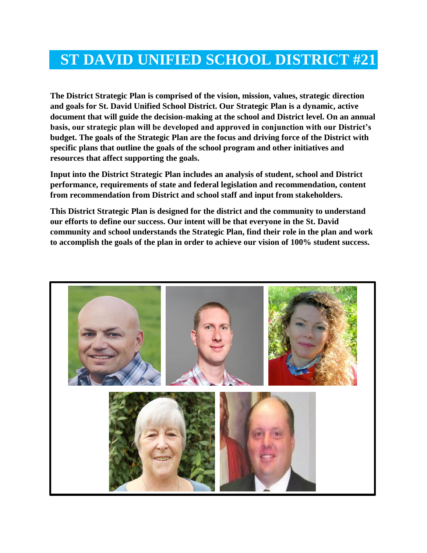# **ST DAVID UNIFIED SCHOOL DISTRICT #21**

**The District Strategic Plan is comprised of the vision, mission, values, strategic direction and goals for St. David Unified School District. Our Strategic Plan is a dynamic, active document that will guide the decision-making at the school and District level. On an annual basis, our strategic plan will be developed and approved in conjunction with our District's budget. The goals of the Strategic Plan are the focus and driving force of the District with specific plans that outline the goals of the school program and other initiatives and resources that affect supporting the goals.**

**Input into the District Strategic Plan includes an analysis of student, school and District performance, requirements of state and federal legislation and recommendation, content from recommendation from District and school staff and input from stakeholders.**

**This District Strategic Plan is designed for the district and the community to understand our efforts to define our success. Our intent will be that everyone in the St. David community and school understands the Strategic Plan, find their role in the plan and work to accomplish the goals of the plan in order to achieve our vision of 100% student success.**

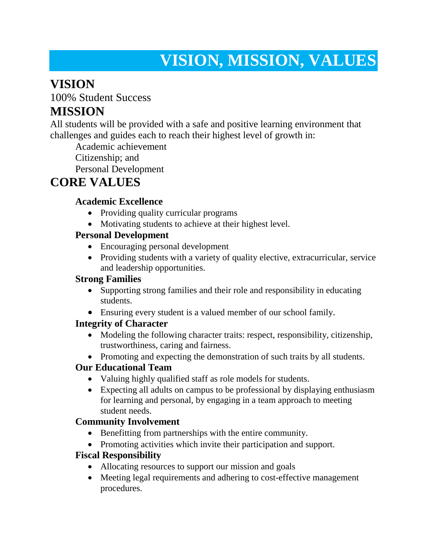# **VISION, MISSION, VALUES**

## **VISION**

100% Student Success

## **MISSION**

All students will be provided with a safe and positive learning environment that challenges and guides each to reach their highest level of growth in:

Academic achievement

Citizenship; and

Personal Development

## **CORE VALUES**

### **Academic Excellence**

- Providing quality curricular programs
- Motivating students to achieve at their highest level.

### **Personal Development**

- Encouraging personal development
- Providing students with a variety of quality elective, extracurricular, service and leadership opportunities.

## **Strong Families**

- Supporting strong families and their role and responsibility in educating students.
- Ensuring every student is a valued member of our school family.

### **Integrity of Character**

- Modeling the following character traits: respect, responsibility, citizenship, trustworthiness, caring and fairness.
- Promoting and expecting the demonstration of such traits by all students.

### **Our Educational Team**

- Valuing highly qualified staff as role models for students.
- Expecting all adults on campus to be professional by displaying enthusiasm for learning and personal, by engaging in a team approach to meeting student needs.

## **Community Involvement**

- Benefitting from partnerships with the entire community.
- Promoting activities which invite their participation and support.

### **Fiscal Responsibility**

- Allocating resources to support our mission and goals
- Meeting legal requirements and adhering to cost-effective management procedures.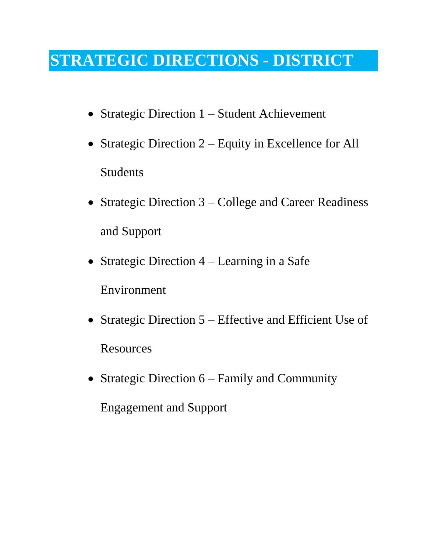# **STRATEGIC DIRECTIONS - DISTRICT**

- Strategic Direction 1 Student Achievement
- Strategic Direction 2 Equity in Excellence for All Students
- Strategic Direction 3 College and Career Readiness and Support
- Strategic Direction  $4$  Learning in a Safe Environment
- Strategic Direction 5 Effective and Efficient Use of Resources
- Strategic Direction  $6 -$  Family and Community

Engagement and Support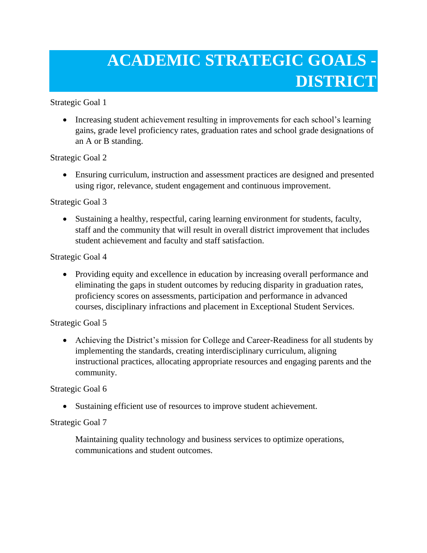# **ACADEMIC STRATEGIC GOALS - DISTRICT**

Strategic Goal 1

• Increasing student achievement resulting in improvements for each school's learning gains, grade level proficiency rates, graduation rates and school grade designations of an A or B standing.

Strategic Goal 2

 Ensuring curriculum, instruction and assessment practices are designed and presented using rigor, relevance, student engagement and continuous improvement.

Strategic Goal 3

 Sustaining a healthy, respectful, caring learning environment for students, faculty, staff and the community that will result in overall district improvement that includes student achievement and faculty and staff satisfaction.

Strategic Goal 4

 Providing equity and excellence in education by increasing overall performance and eliminating the gaps in student outcomes by reducing disparity in graduation rates, proficiency scores on assessments, participation and performance in advanced courses, disciplinary infractions and placement in Exceptional Student Services.

Strategic Goal 5

 Achieving the District's mission for College and Career-Readiness for all students by implementing the standards, creating interdisciplinary curriculum, aligning instructional practices, allocating appropriate resources and engaging parents and the community.

Strategic Goal 6

Sustaining efficient use of resources to improve student achievement.

#### Strategic Goal 7

 Maintaining quality technology and business services to optimize operations, communications and student outcomes.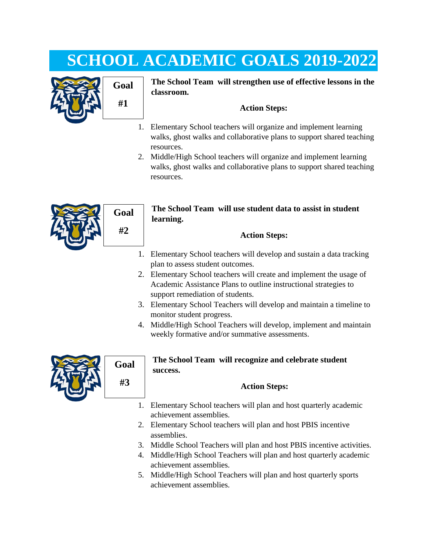# **SCHOOL ACADEMIC GOALS 2019-2022**



## **Goal #1**

**The School Team will strengthen use of effective lessons in the classroom.**

#### **Action Steps:**

- 1. Elementary School teachers will organize and implement learning walks, ghost walks and collaborative plans to support shared teaching resources.
- 2. Middle/High School teachers will organize and implement learning walks, ghost walks and collaborative plans to support shared teaching resources.



#### **The School Team will use student data to assist in student learning.**

#### **Action Steps:**

- 1. Elementary School teachers will develop and sustain a data tracking plan to assess student outcomes.
- 2. Elementary School teachers will create and implement the usage of Academic Assistance Plans to outline instructional strategies to support remediation of students.
- 3. Elementary School Teachers will develop and maintain a timeline to monitor student progress.
- 4. Middle/High School Teachers will develop, implement and maintain weekly formative and/or summative assessments.



#### **The School Team will recognize and celebrate student success.**

#### **Action Steps:**

- 1. Elementary School teachers will plan and host quarterly academic achievement assemblies.
- 2. Elementary School teachers will plan and host PBIS incentive assemblies.
- 3. Middle School Teachers will plan and host PBIS incentive activities.
- 4. Middle/High School Teachers will plan and host quarterly academic achievement assemblies.
- 5. Middle/High School Teachers will plan and host quarterly sports achievement assemblies.

**Goal #2**

**Goal**

**#3**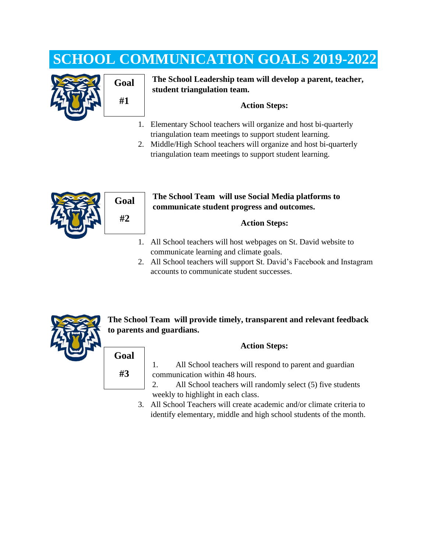# **SCHOOL COMMUNICATION GOALS 2019-2022**





**The School Leadership team will develop a parent, teacher, student triangulation team.**

#### **Action Steps:**

- 1. Elementary School teachers will organize and host bi-quarterly triangulation team meetings to support student learning.
- 2. Middle/High School teachers will organize and host bi-quarterly triangulation team meetings to support student learning.





#### **The School Team will use Social Media platforms to communicate student progress and outcomes.**

#### **Action Steps:**

- 1. All School teachers will host webpages on St. David website to communicate learning and climate goals.
- 2. All School teachers will support St. David's Facebook and Instagram accounts to communicate student successes.



**The School Team will provide timely, transparent and relevant feedback to parents and guardians.**

#### **Action Steps:**

**#3**

**Goal**

- 1. All School teachers will respond to parent and guardian communication within 48 hours.
- 2. All School teachers will randomly select (5) five students weekly to highlight in each class.
- 3. All School Teachers will create academic and/or climate criteria to identify elementary, middle and high school students of the month.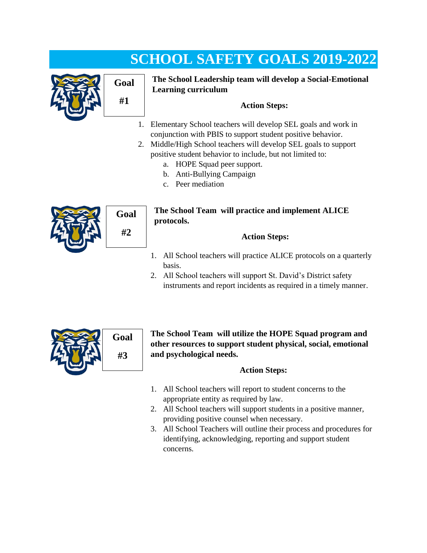# **SCHOOL SAFETY GOALS 2019-2022**





**The School Leadership team will develop a Social-Emotional Learning curriculum**

#### **Action Steps:**

- 1. Elementary School teachers will develop SEL goals and work in conjunction with PBIS to support student positive behavior.
- 2. Middle/High School teachers will develop SEL goals to support positive student behavior to include, but not limited to:
	- a. HOPE Squad peer support.
	- b. Anti-Bullying Campaign
	- c. Peer mediation



**Goal #2**

#### **The School Team will practice and implement ALICE protocols.**

#### **Action Steps:**

- 1. All School teachers will practice ALICE protocols on a quarterly basis.
- 2. All School teachers will support St. David's District safety instruments and report incidents as required in a timely manner.



**The School Team will utilize the HOPE Squad program and other resources to support student physical, social, emotional and psychological needs.**

#### **Action Steps:**

- 1. All School teachers will report to student concerns to the appropriate entity as required by law.
- 2. All School teachers will support students in a positive manner, providing positive counsel when necessary.
- 3. All School Teachers will outline their process and procedures for identifying, acknowledging, reporting and support student concerns.